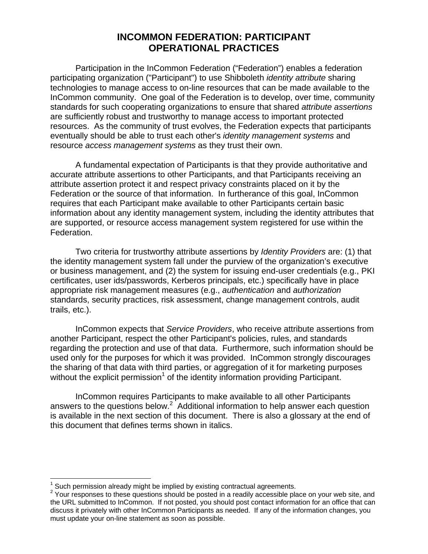# **INCOMMON FEDERATION: PARTICIPANT OPERATIONAL PRACTICES**

Participation in the InCommon Federation ("Federation") enables a federation participating organization ("Participant") to use Shibboleth *identity attribute* sharing technologies to manage access to on-line resources that can be made available to the InCommon community. One goal of the Federation is to develop, over time, community standards for such cooperating organizations to ensure that shared *attribute assertions* are sufficiently robust and trustworthy to manage access to important protected resources. As the community of trust evolves, the Federation expects that participants eventually should be able to trust each other's *identity management systems* and resource *access management systems* as they trust their own.

A fundamental expectation of Participants is that they provide authoritative and accurate attribute assertions to other Participants, and that Participants receiving an attribute assertion protect it and respect privacy constraints placed on it by the Federation or the source of that information. In furtherance of this goal, InCommon requires that each Participant make available to other Participants certain basic information about any identity management system, including the identity attributes that are supported, or resource access management system registered for use within the Federation.

Two criteria for trustworthy attribute assertions by *Identity Providers* are: (1) that the identity management system fall under the purview of the organization's executive or business management, and (2) the system for issuing end-user credentials (e.g., PKI certificates, user ids/passwords, Kerberos principals, etc.) specifically have in place appropriate risk management measures (e.g., *authentication* and *authorization* standards, security practices, risk assessment, change management controls, audit trails, etc.).

InCommon expects that *Service Providers*, who receive attribute assertions from another Participant, respect the other Participant's policies, rules, and standards regarding the protection and use of that data. Furthermore, such information should be used only for the purposes for which it was provided. InCommon strongly discourages the sharing of that data with third parties, or aggregation of it for marketing purposes without the explicit permission<sup>1</sup> of the identity information providing Participant.

InCommon requires Participants to make available to all other Participants answers to the questions below.<sup>2</sup> Additional information to help answer each question is available in the next section of this document. There is also a glossary at the end of this document that defines terms shown in italics.

 $\overline{a}$ 

<sup>&</sup>lt;sup>1</sup> Such permission already might be implied by existing contractual agreements.<br><sup>2</sup> Your responses to these guestions abould be posted in a readily accessible pla

<sup>&</sup>lt;sup>2</sup> Your responses to these questions should be posted in a readily accessible place on your web site, and the URL submitted to InCommon. If not posted, you should post contact information for an office that can discuss it privately with other InCommon Participants as needed. If any of the information changes, you must update your on-line statement as soon as possible.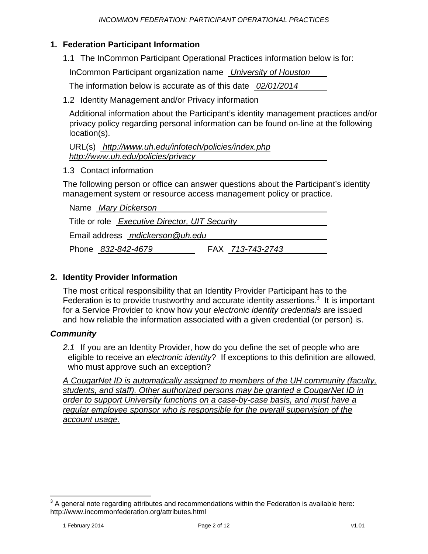#### **1. Federation Participant Information**

1.1 The InCommon Participant Operational Practices information below is for:

InCommon Participant organization name *University of Houston* 

The information below is accurate as of this date *02/01/2014* 

1.2 Identity Management and/or Privacy information

Additional information about the Participant's identity management practices and/or privacy policy regarding personal information can be found on-line at the following location(s).

URL(s) *http://www.uh.edu/infotech/policies/index.php http://www.uh.edu/policies/privacy* 

1.3 Contact information

The following person or office can answer questions about the Participant's identity management system or resource access management policy or practice.

| Name Mary Dickerson                            |                  |  |
|------------------------------------------------|------------------|--|
| Title or role Executive Director, UIT Security |                  |  |
| Email address mdickerson @uh.edu               |                  |  |
| Phone 832-842-4679                             | FAX 713-743-2743 |  |

#### **2. Identity Provider Information**

The most critical responsibility that an Identity Provider Participant has to the Federation is to provide trustworthy and accurate identity assertions. $3$  It is important for a Service Provider to know how your *electronic identity credentials* are issued and how reliable the information associated with a given credential (or person) is.

#### *Community*

*2.1* If you are an Identity Provider, how do you define the set of people who are eligible to receive an *electronic identity*? If exceptions to this definition are allowed, who must approve such an exception?

*A CougarNet ID is automatically assigned to members of the UH community (faculty, students, and staff). Other authorized persons may be granted a CougarNet ID in order to support University functions on a case-by-case basis, and must have a regular employee sponsor who is responsible for the overall supervision of the account usage.* 

 $\overline{a}$  $3$  A general note regarding attributes and recommendations within the Federation is available here: http://www.incommonfederation.org/attributes.html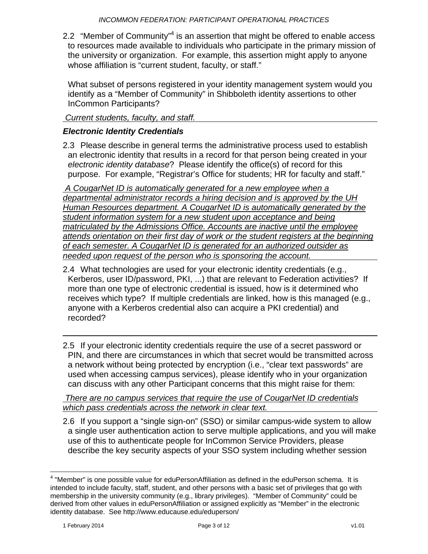2.2 "Member of Community"<sup>4</sup> is an assertion that might be offered to enable access to resources made available to individuals who participate in the primary mission of the university or organization. For example, this assertion might apply to anyone whose affiliation is "current student, faculty, or staff."

What subset of persons registered in your identity management system would you identify as a "Member of Community" in Shibboleth identity assertions to other InCommon Participants?

## *Current students, faculty, and staff.*

## *Electronic Identity Credentials*

2.3 Please describe in general terms the administrative process used to establish an electronic identity that results in a record for that person being created in your *electronic identity database*? Please identify the office(s) of record for this purpose. For example, "Registrar's Office for students; HR for faculty and staff."

 *A CougarNet ID is automatically generated for a new employee when a departmental administrator records a hiring decision and is approved by the UH Human Resources department. A CougarNet ID is automatically generated by the student information system for a new student upon acceptance and being matriculated by the Admissions Office. Accounts are inactive until the employee attends orientation on their first day of work or the student registers at the beginning of each semester. A CougarNet ID is generated for an authorized outsider as needed upon request of the person who is sponsoring the account.* 

- 2.4 What technologies are used for your electronic identity credentials (e.g., Kerberos, user ID/password, PKI, ...) that are relevant to Federation activities? If more than one type of electronic credential is issued, how is it determined who receives which type? If multiple credentials are linked, how is this managed (e.g., anyone with a Kerberos credential also can acquire a PKI credential) and recorded?
- 2.5 If your electronic identity credentials require the use of a secret password or PIN, and there are circumstances in which that secret would be transmitted across a network without being protected by encryption (i.e., "clear text passwords" are used when accessing campus services), please identify who in your organization can discuss with any other Participant concerns that this might raise for them:

 *There are no campus services that require the use of CougarNet ID credentials which pass credentials across the network in clear text.* 

2.6 If you support a "single sign-on" (SSO) or similar campus-wide system to allow a single user authentication action to serve multiple applications, and you will make use of this to authenticate people for InCommon Service Providers, please describe the key security aspects of your SSO system including whether session

 $\overline{a}$  $4$  "Member" is one possible value for eduPersonAffiliation as defined in the eduPerson schema. It is intended to include faculty, staff, student, and other persons with a basic set of privileges that go with membership in the university community (e.g., library privileges). "Member of Community" could be derived from other values in eduPersonAffiliation or assigned explicitly as "Member" in the electronic identity database. See http://www.educause.edu/eduperson/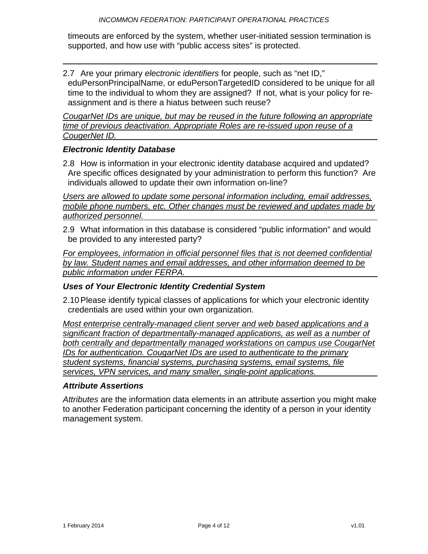timeouts are enforced by the system, whether user-initiated session termination is supported, and how use with "public access sites" is protected.

2.7 Are your primary *electronic identifiers* for people, such as "net ID," eduPersonPrincipalName, or eduPersonTargetedID considered to be unique for all time to the individual to whom they are assigned? If not, what is your policy for reassignment and is there a hiatus between such reuse?

*CougarNet IDs are unique, but may be reused in the future following an appropriate time of previous deactivation. Appropriate Roles are re-issued upon reuse of a CougerNet ID.* 

#### *Electronic Identity Database*

2.8 How is information in your electronic identity database acquired and updated? Are specific offices designated by your administration to perform this function? Are individuals allowed to update their own information on-line?

*Users are allowed to update some personal information including, email addresses, mobile phone numbers, etc. Other changes must be reviewed and updates made by authorized personnel.* 

2.9 What information in this database is considered "public information" and would be provided to any interested party?

*For employees, information in official personnel files that is not deemed confidential by law. Student names and email addresses, and other information deemed to be public information under FERPA.* 

#### *Uses of Your Electronic Identity Credential System*

2.10 Please identify typical classes of applications for which your electronic identity credentials are used within your own organization.

*Most enterprise centrally-managed client server and web based applications and a significant fraction of departmentally-managed applications, as well as a number of both centrally and departmentally managed workstations on campus use CougarNet IDs for authentication. CougarNet IDs are used to authenticate to the primary student systems, financial systems, purchasing systems, email systems, file services, VPN services, and many smaller, single-point applications.* 

#### *Attribute Assertions*

*Attributes* are the information data elements in an attribute assertion you might make to another Federation participant concerning the identity of a person in your identity management system.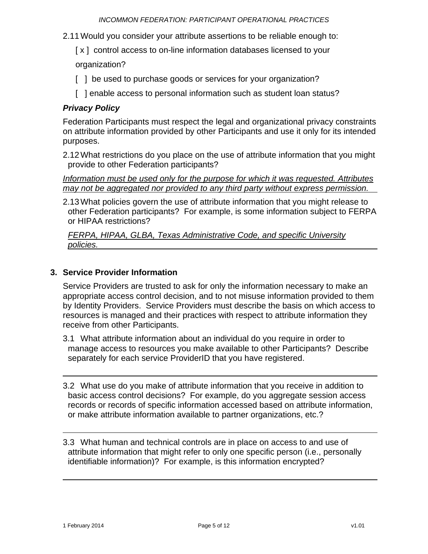- 2.11 Would you consider your attribute assertions to be reliable enough to:
	- [x] control access to on-line information databases licensed to your

organization?

- [ ] be used to purchase goods or services for your organization?
- [ ] enable access to personal information such as student loan status?

# *Privacy Policy*

Federation Participants must respect the legal and organizational privacy constraints on attribute information provided by other Participants and use it only for its intended purposes.

2.12 What restrictions do you place on the use of attribute information that you might provide to other Federation participants?

*Information must be used only for the purpose for which it was requested. Attributes may not be aggregated nor provided to any third party without express permission.* 

2.13 What policies govern the use of attribute information that you might release to other Federation participants? For example, is some information subject to FERPA or HIPAA restrictions?

*FERPA, HIPAA, GLBA, Texas Administrative Code, and specific University policies.* 

## **3. Service Provider Information**

Service Providers are trusted to ask for only the information necessary to make an appropriate access control decision, and to not misuse information provided to them by Identity Providers. Service Providers must describe the basis on which access to resources is managed and their practices with respect to attribute information they receive from other Participants.

- 3.1 What attribute information about an individual do you require in order to manage access to resources you make available to other Participants? Describe separately for each service ProviderID that you have registered.
- 3.2 What use do you make of attribute information that you receive in addition to basic access control decisions? For example, do you aggregate session access records or records of specific information accessed based on attribute information, or make attribute information available to partner organizations, etc.?

3.3 What human and technical controls are in place on access to and use of attribute information that might refer to only one specific person (i.e., personally identifiable information)? For example, is this information encrypted?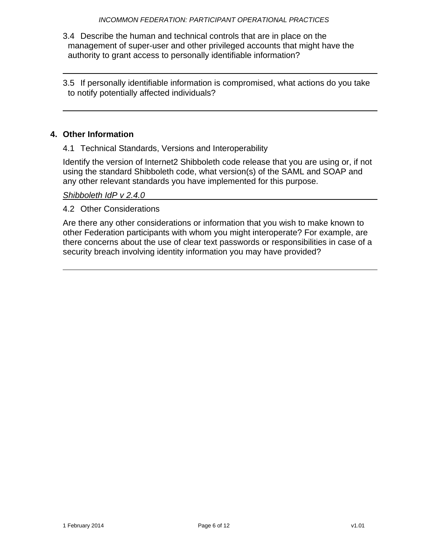- 3.4 Describe the human and technical controls that are in place on the management of super-user and other privileged accounts that might have the authority to grant access to personally identifiable information?
- 3.5 If personally identifiable information is compromised, what actions do you take to notify potentially affected individuals?

## **4. Other Information**

4.1 Technical Standards, Versions and Interoperability

Identify the version of Internet2 Shibboleth code release that you are using or, if not using the standard Shibboleth code, what version(s) of the SAML and SOAP and any other relevant standards you have implemented for this purpose.

*Shibboleth IdP v 2.4.0* 

4.2 Other Considerations

Are there any other considerations or information that you wish to make known to other Federation participants with whom you might interoperate? For example, are there concerns about the use of clear text passwords or responsibilities in case of a security breach involving identity information you may have provided?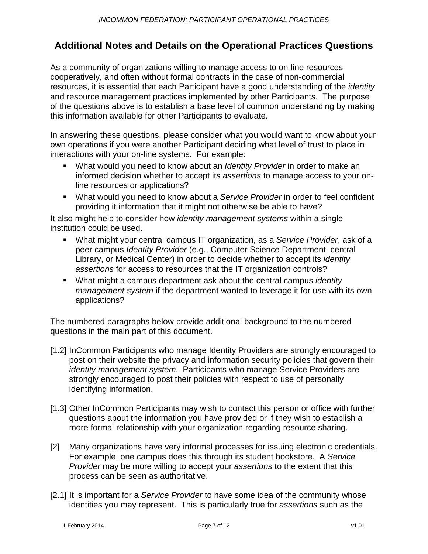# **Additional Notes and Details on the Operational Practices Questions**

As a community of organizations willing to manage access to on-line resources cooperatively, and often without formal contracts in the case of non-commercial resources, it is essential that each Participant have a good understanding of the *identity* and resource management practices implemented by other Participants. The purpose of the questions above is to establish a base level of common understanding by making this information available for other Participants to evaluate.

In answering these questions, please consider what you would want to know about your own operations if you were another Participant deciding what level of trust to place in interactions with your on-line systems. For example:

- What would you need to know about an *Identity Provider* in order to make an informed decision whether to accept its *assertions* to manage access to your online resources or applications?
- What would you need to know about a *Service Provider* in order to feel confident providing it information that it might not otherwise be able to have?

It also might help to consider how *identity management systems* within a single institution could be used.

- What might your central campus IT organization, as a *Service Provider*, ask of a peer campus *Identity Provider* (e.g., Computer Science Department, central Library, or Medical Center) in order to decide whether to accept its *identity assertions* for access to resources that the IT organization controls?
- What might a campus department ask about the central campus *identity management system* if the department wanted to leverage it for use with its own applications?

The numbered paragraphs below provide additional background to the numbered questions in the main part of this document.

- [1.2] InCommon Participants who manage Identity Providers are strongly encouraged to post on their website the privacy and information security policies that govern their *identity management system*. Participants who manage Service Providers are strongly encouraged to post their policies with respect to use of personally identifying information.
- [1.3] Other InCommon Participants may wish to contact this person or office with further questions about the information you have provided or if they wish to establish a more formal relationship with your organization regarding resource sharing.
- [2] Many organizations have very informal processes for issuing electronic credentials. For example, one campus does this through its student bookstore. A *Service Provider* may be more willing to accept your *assertions* to the extent that this process can be seen as authoritative.
- [2.1] It is important for a *Service Provider* to have some idea of the community whose identities you may represent. This is particularly true for *assertions* such as the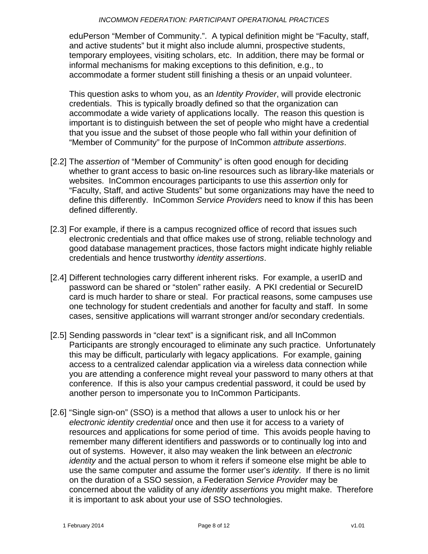eduPerson "Member of Community.". A typical definition might be "Faculty, staff, and active students" but it might also include alumni, prospective students, temporary employees, visiting scholars, etc. In addition, there may be formal or informal mechanisms for making exceptions to this definition, e.g., to accommodate a former student still finishing a thesis or an unpaid volunteer.

 This question asks to whom you, as an *Identity Provider*, will provide electronic credentials. This is typically broadly defined so that the organization can accommodate a wide variety of applications locally. The reason this question is important is to distinguish between the set of people who might have a credential that you issue and the subset of those people who fall within your definition of "Member of Community" for the purpose of InCommon *attribute assertions*.

- [2.2] The *assertion* of "Member of Community" is often good enough for deciding whether to grant access to basic on-line resources such as library-like materials or websites. InCommon encourages participants to use this *assertion* only for "Faculty, Staff, and active Students" but some organizations may have the need to define this differently. InCommon *Service Providers* need to know if this has been defined differently.
- [2.3] For example, if there is a campus recognized office of record that issues such electronic credentials and that office makes use of strong, reliable technology and good database management practices, those factors might indicate highly reliable credentials and hence trustworthy *identity assertions*.
- [2.4] Different technologies carry different inherent risks. For example, a userID and password can be shared or "stolen" rather easily. A PKI credential or SecureID card is much harder to share or steal. For practical reasons, some campuses use one technology for student credentials and another for faculty and staff. In some cases, sensitive applications will warrant stronger and/or secondary credentials.
- [2.5] Sending passwords in "clear text" is a significant risk, and all InCommon Participants are strongly encouraged to eliminate any such practice. Unfortunately this may be difficult, particularly with legacy applications. For example, gaining access to a centralized calendar application via a wireless data connection while you are attending a conference might reveal your password to many others at that conference. If this is also your campus credential password, it could be used by another person to impersonate you to InCommon Participants.
- [2.6] "Single sign-on" (SSO) is a method that allows a user to unlock his or her *electronic identity credential* once and then use it for access to a variety of resources and applications for some period of time. This avoids people having to remember many different identifiers and passwords or to continually log into and out of systems. However, it also may weaken the link between an *electronic identity* and the actual person to whom it refers if someone else might be able to use the same computer and assume the former user's *identity*. If there is no limit on the duration of a SSO session, a Federation *Service Provider* may be concerned about the validity of any *identity assertions* you might make. Therefore it is important to ask about your use of SSO technologies.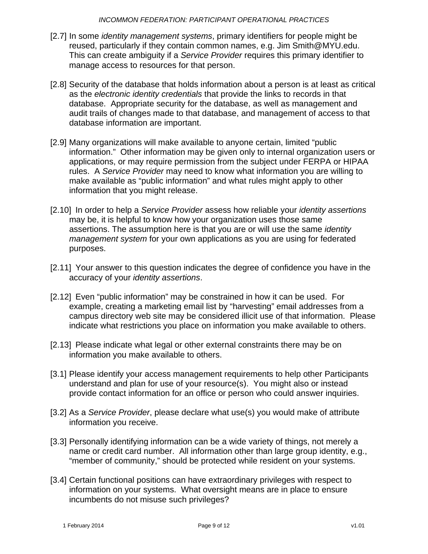- [2.7] In some *identity management systems*, primary identifiers for people might be reused, particularly if they contain common names, e.g. Jim Smith@MYU.edu. This can create ambiguity if a *Service Provider* requires this primary identifier to manage access to resources for that person.
- [2.8] Security of the database that holds information about a person is at least as critical as the *electronic identity credentials* that provide the links to records in that database. Appropriate security for the database, as well as management and audit trails of changes made to that database, and management of access to that database information are important.
- [2.9] Many organizations will make available to anyone certain, limited "public information." Other information may be given only to internal organization users or applications, or may require permission from the subject under FERPA or HIPAA rules. A *Service Provider* may need to know what information you are willing to make available as "public information" and what rules might apply to other information that you might release.
- [2.10] In order to help a *Service Provider* assess how reliable your *identity assertions* may be, it is helpful to know how your organization uses those same assertions. The assumption here is that you are or will use the same *identity management system* for your own applications as you are using for federated purposes.
- [2.11] Your answer to this question indicates the degree of confidence you have in the accuracy of your *identity assertions*.
- [2.12] Even "public information" may be constrained in how it can be used. For example, creating a marketing email list by "harvesting" email addresses from a campus directory web site may be considered illicit use of that information. Please indicate what restrictions you place on information you make available to others.
- [2.13] Please indicate what legal or other external constraints there may be on information you make available to others.
- [3.1] Please identify your access management requirements to help other Participants understand and plan for use of your resource(s). You might also or instead provide contact information for an office or person who could answer inquiries.
- [3.2] As a *Service Provider*, please declare what use(s) you would make of attribute information you receive.
- [3.3] Personally identifying information can be a wide variety of things, not merely a name or credit card number. All information other than large group identity, e.g., "member of community," should be protected while resident on your systems.
- [3.4] Certain functional positions can have extraordinary privileges with respect to information on your systems. What oversight means are in place to ensure incumbents do not misuse such privileges?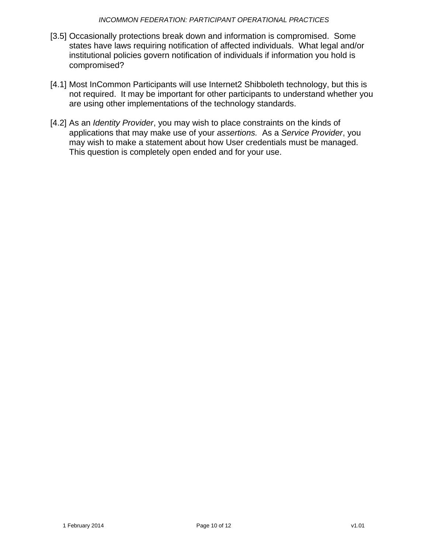#### *INCOMMON FEDERATION: PARTICIPANT OPERATIONAL PRACTICES*

- [3.5] Occasionally protections break down and information is compromised. Some states have laws requiring notification of affected individuals. What legal and/or institutional policies govern notification of individuals if information you hold is compromised?
- [4.1] Most InCommon Participants will use Internet2 Shibboleth technology, but this is not required. It may be important for other participants to understand whether you are using other implementations of the technology standards.
- [4.2] As an *Identity Provider*, you may wish to place constraints on the kinds of applications that may make use of your *assertions.* As a *Service Provider*, you may wish to make a statement about how User credentials must be managed. This question is completely open ended and for your use.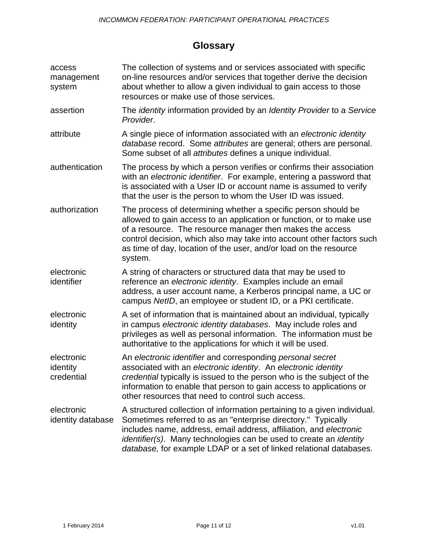# **Glossary**

| access<br>management<br>system       | The collection of systems and or services associated with specific<br>on-line resources and/or services that together derive the decision<br>about whether to allow a given individual to gain access to those<br>resources or make use of those services.                                                                                                                 |
|--------------------------------------|----------------------------------------------------------------------------------------------------------------------------------------------------------------------------------------------------------------------------------------------------------------------------------------------------------------------------------------------------------------------------|
| assertion                            | The <i>identity</i> information provided by an <i>Identity Provider</i> to a Service<br>Provider.                                                                                                                                                                                                                                                                          |
| attribute                            | A single piece of information associated with an electronic identity<br>database record. Some attributes are general; others are personal.<br>Some subset of all attributes defines a unique individual.                                                                                                                                                                   |
| authentication                       | The process by which a person verifies or confirms their association<br>with an electronic identifier. For example, entering a password that<br>is associated with a User ID or account name is assumed to verify<br>that the user is the person to whom the User ID was issued.                                                                                           |
| authorization                        | The process of determining whether a specific person should be<br>allowed to gain access to an application or function, or to make use<br>of a resource. The resource manager then makes the access<br>control decision, which also may take into account other factors such<br>as time of day, location of the user, and/or load on the resource<br>system.               |
| electronic<br>identifier             | A string of characters or structured data that may be used to<br>reference an electronic identity. Examples include an email<br>address, a user account name, a Kerberos principal name, a UC or<br>campus NetID, an employee or student ID, or a PKI certificate.                                                                                                         |
| electronic<br>identity               | A set of information that is maintained about an individual, typically<br>in campus electronic identity databases. May include roles and<br>privileges as well as personal information. The information must be<br>authoritative to the applications for which it will be used.                                                                                            |
| electronic<br>identity<br>credential | An electronic identifier and corresponding personal secret<br>associated with an electronic identity. An electronic identity<br>credential typically is issued to the person who is the subject of the<br>information to enable that person to gain access to applications or<br>other resources that need to control such access.                                         |
| electronic<br>identity database      | A structured collection of information pertaining to a given individual.<br>Sometimes referred to as an "enterprise directory." Typically<br>includes name, address, email address, affiliation, and electronic<br><i>identifier(s).</i> Many technologies can be used to create an <i>identity</i><br>database, for example LDAP or a set of linked relational databases. |